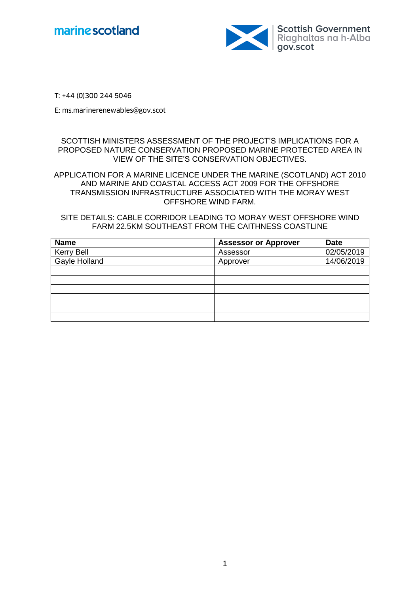



T: +44 (0)300 244 5046

E: ms.marinerenewables@gov.scot

#### SCOTTISH MINISTERS ASSESSMENT OF THE PROJECT'S IMPLICATIONS FOR A PROPOSED NATURE CONSERVATION PROPOSED MARINE PROTECTED AREA IN VIEW OF THE SITE'S CONSERVATION OBJECTIVES.

APPLICATION FOR A MARINE LICENCE UNDER THE MARINE (SCOTLAND) ACT 2010 AND MARINE AND COASTAL ACCESS ACT 2009 FOR THE OFFSHORE TRANSMISSION INFRASTRUCTURE ASSOCIATED WITH THE MORAY WEST OFFSHORE WIND FARM.

SITE DETAILS: CABLE CORRIDOR LEADING TO MORAY WEST OFFSHORE WIND FARM 22.5KM SOUTHEAST FROM THE CAITHNESS COASTLINE

| <b>Name</b>   | <b>Assessor or Approver</b> | <b>Date</b> |
|---------------|-----------------------------|-------------|
| Kerry Bell    | Assessor                    | 02/05/2019  |
| Gayle Holland | Approver                    | 14/06/2019  |
|               |                             |             |
|               |                             |             |
|               |                             |             |
|               |                             |             |
|               |                             |             |
|               |                             |             |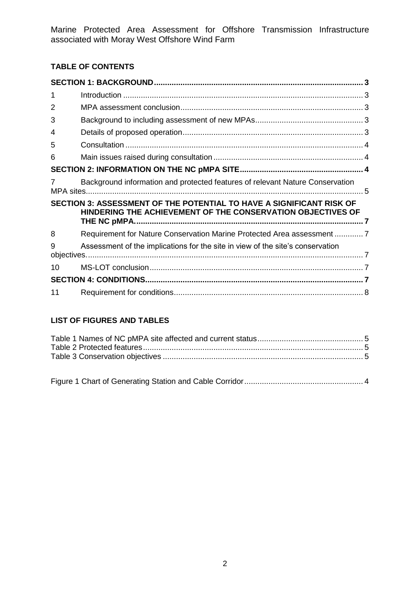## **TABLE OF CONTENTS**

| 1  |                                                                                                                                            |  |
|----|--------------------------------------------------------------------------------------------------------------------------------------------|--|
| 2  |                                                                                                                                            |  |
| 3  |                                                                                                                                            |  |
| 4  |                                                                                                                                            |  |
| 5  |                                                                                                                                            |  |
| 6  |                                                                                                                                            |  |
|    |                                                                                                                                            |  |
| 7  | Background information and protected features of relevant Nature Conservation                                                              |  |
|    | <b>SECTION 3: ASSESSMENT OF THE POTENTIAL TO HAVE A SIGNIFICANT RISK OF</b><br>HINDERING THE ACHIEVEMENT OF THE CONSERVATION OBJECTIVES OF |  |
| 8  | Requirement for Nature Conservation Marine Protected Area assessment 7                                                                     |  |
| 9  | Assessment of the implications for the site in view of the site's conservation                                                             |  |
| 10 |                                                                                                                                            |  |
|    |                                                                                                                                            |  |
| 11 |                                                                                                                                            |  |

# **LIST OF FIGURES AND TABLES**

[Figure 1 Chart of Generating Station and Cable Corridor......................................................](#page-3-3) 4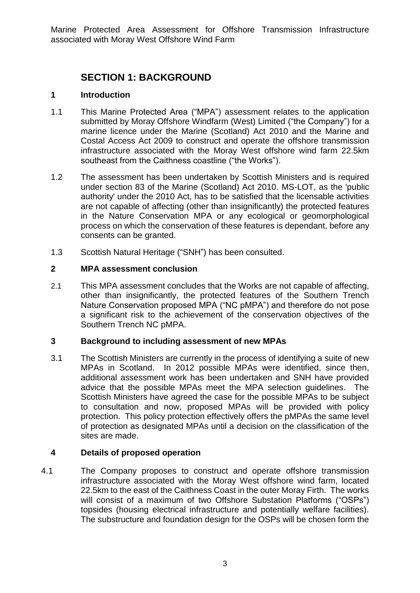# **SECTION 1: BACKGROUND**

## <span id="page-2-1"></span><span id="page-2-0"></span>**1 Introduction**

- 1.1 This Marine Protected Area ("MPA") assessment relates to the application submitted by Moray Offshore Windfarm (West) Limited ("the Company") for a marine licence under the Marine (Scotland) Act 2010 and the Marine and Costal Access Act 2009 to construct and operate the offshore transmission infrastructure associated with the Moray West offshore wind farm 22.5km southeast from the Caithness coastline ("the Works").
- 1.2 The assessment has been undertaken by Scottish Ministers and is required under section 83 of the Marine (Scotland) Act 2010. MS-LOT, as the 'public authority' under the 2010 Act, has to be satisfied that the licensable activities are not capable of affecting (other than insignificantly) the protected features in the Nature Conservation MPA or any ecological or geomorphological process on which the conservation of these features is dependant, before any consents can be granted.
- 1.3 Scottish Natural Heritage ("SNH") has been consulted.

## <span id="page-2-2"></span>**2 MPA assessment conclusion**

2.1 This MPA assessment concludes that the Works are not capable of affecting, other than insignificantly, the protected features of the Southern Trench Nature Conservation proposed MPA ("NC pMPA") and therefore do not pose a significant risk to the achievement of the conservation objectives of the Southern Trench NC pMPA.

## <span id="page-2-3"></span>**3 Background to including assessment of new MPAs**

3.1 The Scottish Ministers are currently in the process of identifying a suite of new MPAs in Scotland. In 2012 possible MPAs were identified, since then, additional assessment work has been undertaken and SNH have provided advice that the possible MPAs meet the MPA selection guidelines. The Scottish Ministers have agreed the case for the possible MPAs to be subject to consultation and now, proposed MPAs will be provided with policy protection. This policy protection effectively offers the pMPAs the same level of protection as designated MPAs until a decision on the classification of the sites are made.

## <span id="page-2-4"></span>**4 Details of proposed operation**

4.1 The Company proposes to construct and operate offshore transmission infrastructure associated with the Moray West offshore wind farm, located 22.5km to the east of the Caithness Coast in the outer Moray Firth. The works will consist of a maximum of two Offshore Substation Platforms ("OSPs") topsides (housing electrical infrastructure and potentially welfare facilities). The substructure and foundation design for the OSPs will be chosen form the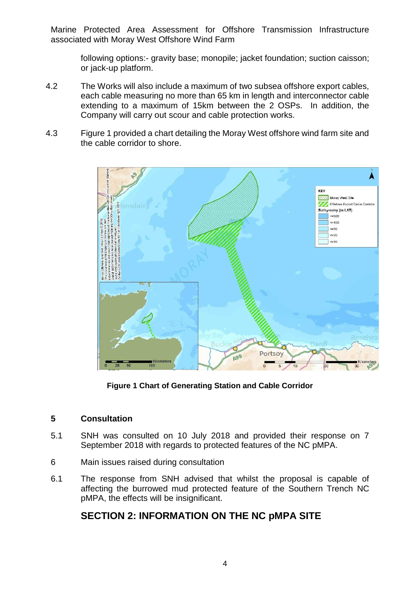following options:- gravity base; monopile; jacket foundation; suction caisson; or jack-up platform.

- 4.2 The Works will also include a maximum of two subsea offshore export cables, each cable measuring no more than 65 km in length and interconnector cable extending to a maximum of 15km between the 2 OSPs. In addition, the Company will carry out scour and cable protection works.
- 4.3 Figure 1 provided a chart detailing the Moray West offshore wind farm site and the cable corridor to shore.



**Figure 1 Chart of Generating Station and Cable Corridor**

## <span id="page-3-3"></span><span id="page-3-0"></span>**5 Consultation**

- 5.1 SNH was consulted on 10 July 2018 and provided their response on 7 September 2018 with regards to protected features of the NC pMPA.
- <span id="page-3-1"></span>6 Main issues raised during consultation
- 6.1 The response from SNH advised that whilst the proposal is capable of affecting the burrowed mud protected feature of the Southern Trench NC pMPA, the effects will be insignificant.

# <span id="page-3-2"></span>**SECTION 2: INFORMATION ON THE NC pMPA SITE**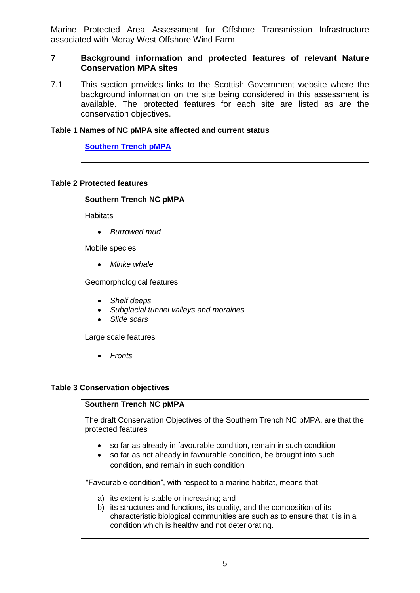### <span id="page-4-0"></span>**7 Background information and protected features of relevant Nature Conservation MPA sites**

7.1 This section provides links to the Scottish Government website where the background information on the site being considered in this assessment is available. The protected features for each site are listed as are the conservation objectives.

#### <span id="page-4-1"></span>**Table 1 Names of NC pMPA site affected and current status**

**[Southern Trench pMPA](https://www.gov.scot/publications/arine-protected-areas-mobile-marine-species-consultation-proposals-designate-four-new-marine-protected-areas-scottish-waters/)**

#### <span id="page-4-2"></span>**Table 2 Protected features**

**Southern Trench NC pMPA**

**Habitats** 

*Burrowed mud*

Mobile species

*Minke whale* 

Geomorphological features

- *Shelf deeps*
- *Subglacial tunnel valleys and moraines*
- *Slide scars*

Large scale features

*Fronts*

#### <span id="page-4-3"></span>**Table 3 Conservation objectives**

## **Southern Trench NC pMPA**

The draft Conservation Objectives of the Southern Trench NC pMPA, are that the protected features

- so far as already in favourable condition, remain in such condition
- so far as not already in favourable condition, be brought into such condition, and remain in such condition

"Favourable condition", with respect to a marine habitat, means that

- a) its extent is stable or increasing; and
- b) its structures and functions, its quality, and the composition of its characteristic biological communities are such as to ensure that it is in a condition which is healthy and not deteriorating.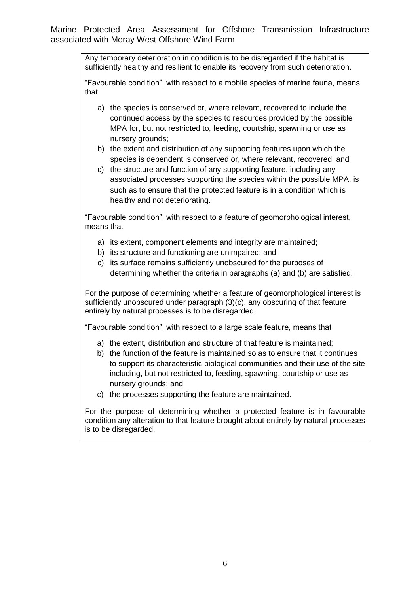Any temporary deterioration in condition is to be disregarded if the habitat is sufficiently healthy and resilient to enable its recovery from such deterioration.

"Favourable condition", with respect to a mobile species of marine fauna, means that

- a) the species is conserved or, where relevant, recovered to include the continued access by the species to resources provided by the possible MPA for, but not restricted to, feeding, courtship, spawning or use as nursery grounds;
- b) the extent and distribution of any supporting features upon which the species is dependent is conserved or, where relevant, recovered; and
- c) the structure and function of any supporting feature, including any associated processes supporting the species within the possible MPA, is such as to ensure that the protected feature is in a condition which is healthy and not deteriorating.

"Favourable condition", with respect to a feature of geomorphological interest, means that

- a) its extent, component elements and integrity are maintained;
- b) its structure and functioning are unimpaired; and
- c) its surface remains sufficiently unobscured for the purposes of determining whether the criteria in paragraphs (a) and (b) are satisfied.

 For the purpose of determining whether a feature of geomorphological interest is sufficiently unobscured under paragraph (3)(c), any obscuring of that feature entirely by natural processes is to be disregarded.

"Favourable condition", with respect to a large scale feature, means that

- a) the extent, distribution and structure of that feature is maintained;
- b) the function of the feature is maintained so as to ensure that it continues to support its characteristic biological communities and their use of the site including, but not restricted to, feeding, spawning, courtship or use as nursery grounds; and
- c) the processes supporting the feature are maintained.

For the purpose of determining whether a protected feature is in favourable condition any alteration to that feature brought about entirely by natural processes is to be disregarded.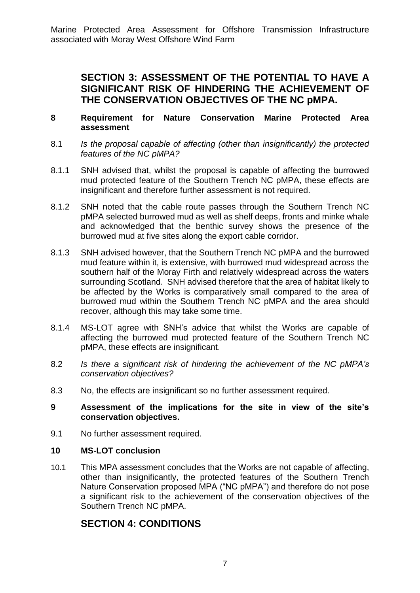# <span id="page-6-0"></span>**SECTION 3: ASSESSMENT OF THE POTENTIAL TO HAVE A SIGNIFICANT RISK OF HINDERING THE ACHIEVEMENT OF THE CONSERVATION OBJECTIVES OF THE NC pMPA.**

## <span id="page-6-1"></span>**8 Requirement for Nature Conservation Marine Protected Area assessment**

- 8.1 *Is the proposal capable of affecting (other than insignificantly) the protected features of the NC pMPA?*
- 8.1.1 SNH advised that, whilst the proposal is capable of affecting the burrowed mud protected feature of the Southern Trench NC pMPA, these effects are insignificant and therefore further assessment is not required.
- 8.1.2 SNH noted that the cable route passes through the Southern Trench NC pMPA selected burrowed mud as well as shelf deeps, fronts and minke whale and acknowledged that the benthic survey shows the presence of the burrowed mud at five sites along the export cable corridor.
- 8.1.3 SNH advised however, that the Southern Trench NC pMPA and the burrowed mud feature within it, is extensive, with burrowed mud widespread across the southern half of the Moray Firth and relatively widespread across the waters surrounding Scotland. SNH advised therefore that the area of habitat likely to be affected by the Works is comparatively small compared to the area of burrowed mud within the Southern Trench NC pMPA and the area should recover, although this may take some time.
- 8.1.4 MS-LOT agree with SNH's advice that whilst the Works are capable of affecting the burrowed mud protected feature of the Southern Trench NC pMPA, these effects are insignificant.
- 8.2 *Is there a significant risk of hindering the achievement of the NC pMPA's conservation objectives?*
- 8.3 No, the effects are insignificant so no further assessment required.

#### <span id="page-6-2"></span>**9 Assessment of the implications for the site in view of the site's conservation objectives.**

9.1 No further assessment required.

### <span id="page-6-3"></span>**10 MS-LOT conclusion**

10.1 This MPA assessment concludes that the Works are not capable of affecting, other than insignificantly, the protected features of the Southern Trench Nature Conservation proposed MPA ("NC pMPA") and therefore do not pose a significant risk to the achievement of the conservation objectives of the Southern Trench NC pMPA.

# <span id="page-6-4"></span>**SECTION 4: CONDITIONS**